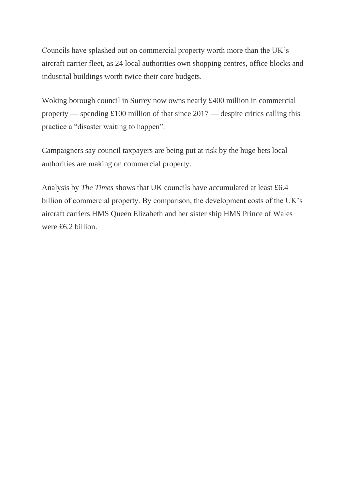Councils have splashed out on commercial property worth more than the UK's aircraft carrier fleet, as 24 local authorities own shopping centres, office blocks and industrial buildings worth twice their core budgets.

Woking borough council in Surrey now owns nearly £400 million in commercial property — spending £100 million of that since 2017 — despite critics calling this practice a "disaster waiting to happen".

Campaigners say council taxpayers are being put at risk by the huge bets local authorities are making on commercial property.

Analysis by *The Times* shows that UK councils have accumulated at least £6.4 billion of commercial property. By comparison, the development costs of the UK's aircraft carriers HMS Queen Elizabeth and her sister ship HMS Prince of Wales were £6.2 billion.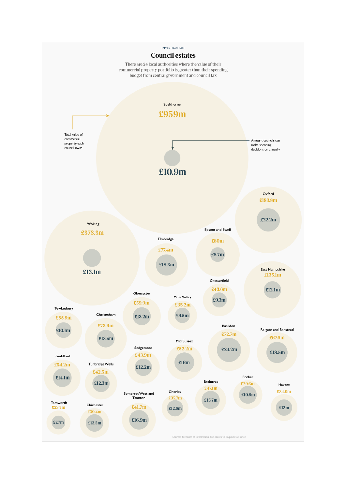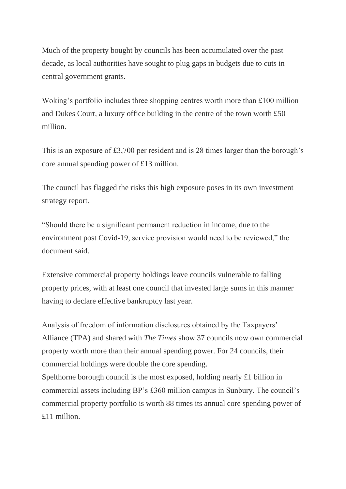Much of the property bought by councils has been accumulated over the past decade, as local authorities have sought to plug gaps in budgets due to cuts in central government grants.

Woking's portfolio includes three shopping centres worth more than £100 million and Dukes Court, a luxury office building in the centre of the town worth £50 million.

This is an exposure of £3,700 per resident and is 28 times larger than the borough's core annual spending power of £13 million.

The council has flagged the risks this high exposure poses in its own investment strategy report.

"Should there be a significant permanent reduction in income, due to the environment post Covid-19, service provision would need to be reviewed," the document said.

Extensive commercial property holdings leave councils vulnerable to falling property prices, with at least one council that invested large sums in this manner having to declare effective bankruptcy last year.

Analysis of freedom of information disclosures obtained by the Taxpayers' Alliance (TPA) and shared with *The Times* show 37 councils now own commercial property worth more than their annual spending power. For 24 councils, their commercial holdings were double the core spending.

Spelthorne borough council is the most exposed, holding nearly £1 billion in commercial assets including BP's £360 million campus in Sunbury. The council's commercial property portfolio is worth 88 times its annual core spending power of £11 million.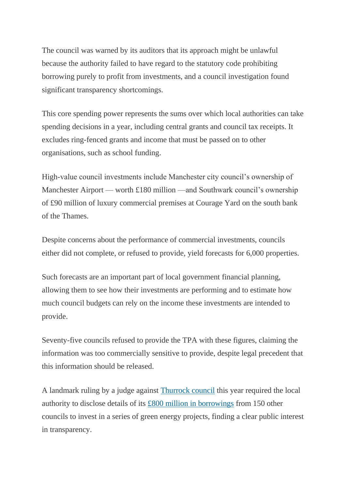The council was warned by its auditors that its approach might be unlawful because the authority failed to have regard to the statutory code prohibiting borrowing purely to profit from investments, and a council investigation found significant transparency shortcomings.

This core spending power represents the sums over which local authorities can take spending decisions in a year, including central grants and council tax receipts. It excludes ring-fenced grants and income that must be passed on to other organisations, such as school funding.

High-value council investments include Manchester city council's ownership of Manchester Airport — worth £180 million —and Southwark council's ownership of £90 million of luxury commercial premises at Courage Yard on the south bank of the Thames.

Despite concerns about the performance of commercial investments, councils either did not complete, or refused to provide, yield forecasts for 6,000 properties.

Such forecasts are an important part of local government financial planning, allowing them to see how their investments are performing and to estimate how much council budgets can rely on the income these investments are intended to provide.

Seventy-five councils refused to provide the TPA with these figures, claiming the information was too commercially sensitive to provide, despite legal precedent that this information should be released.

A landmark ruling by a judge against [Thurrock council](https://www.thetimes.co.uk/article/judge-condemns-thurrock-council-over-815m-green-deal-0q9dgz5dj) this year required the local authority to disclose details of its [£800 million in borrowings](https://www.thetimes.co.uk/article/thurrock-council-must-give-details-of-800m-loan-kp6zbz7rp) from 150 other councils to invest in a series of green energy projects, finding a clear public interest in transparency.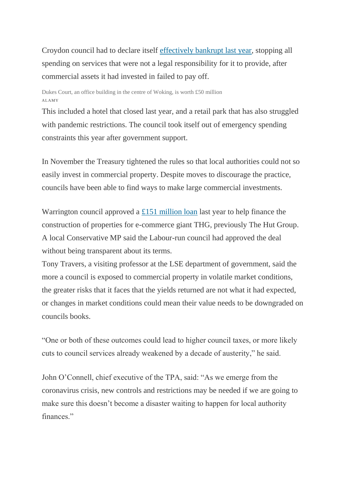Croydon council had to declare itself [effectively bankrupt last year,](https://www.thetimes.co.uk/article/bankrupt-councils-30m-property-punt-rzmhp9dnx) stopping all spending on services that were not a legal responsibility for it to provide, after commercial assets it had invested in failed to pay off.

Dukes Court, an office building in the centre of Woking, is worth £50 million ALAMY

This included a hotel that closed last year, and a retail park that has also struggled with pandemic restrictions. The council took itself out of emergency spending constraints this year after government support.

In November the Treasury tightened the rules so that local authorities could not so easily invest in commercial property. Despite moves to discourage the practice, councils have been able to find ways to make large commercial investments.

Warrington council approved a [£151 million loan](https://www.thetimes.co.uk/article/council-under-fire-over-151m-thg-loan-7q738qfph) last year to help finance the construction of properties for e-commerce giant THG, previously The Hut Group. A local Conservative MP said the Labour-run council had approved the deal without being transparent about its terms.

Tony Travers, a visiting professor at the LSE department of government, said the more a council is exposed to commercial property in volatile market conditions, the greater risks that it faces that the yields returned are not what it had expected, or changes in market conditions could mean their value needs to be downgraded on councils books.

"One or both of these outcomes could lead to higher council taxes, or more likely cuts to council services already weakened by a decade of austerity," he said.

John O'Connell, chief executive of the TPA, said: "As we emerge from the coronavirus crisis, new controls and restrictions may be needed if we are going to make sure this doesn't become a disaster waiting to happen for local authority finances"